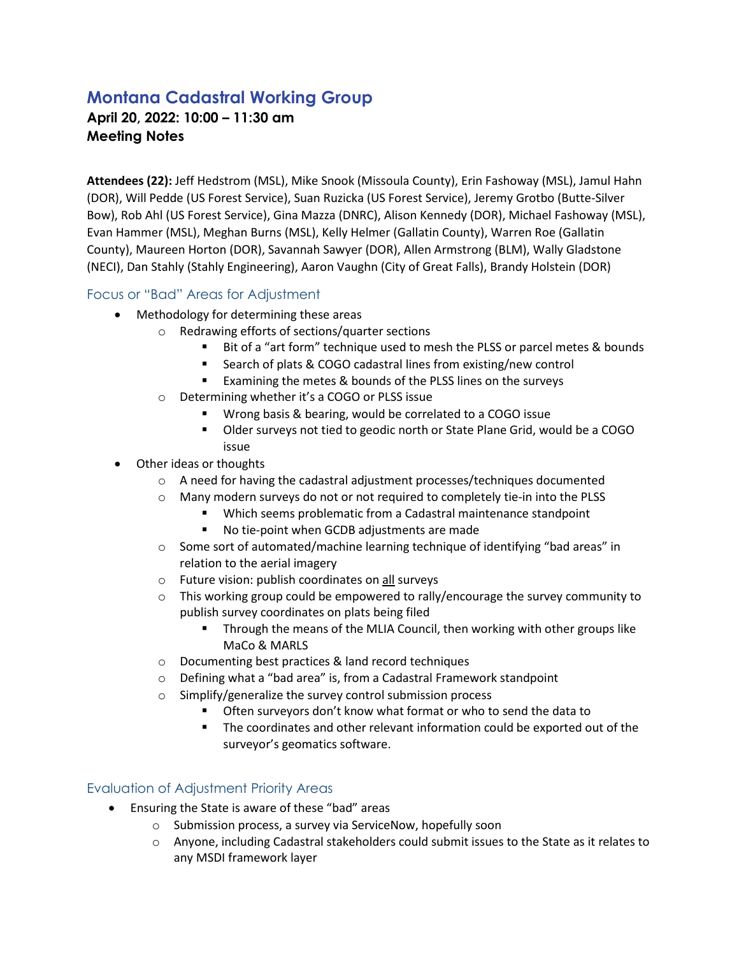## **Montana Cadastral Working Group**

**April 20, 2022: 10:00 – 11:30 am Meeting Notes**

**Attendees (22):** Jeff Hedstrom (MSL), Mike Snook (Missoula County), Erin Fashoway (MSL), Jamul Hahn (DOR), Will Pedde (US Forest Service), Suan Ruzicka (US Forest Service), Jeremy Grotbo (Butte-Silver Bow), Rob Ahl (US Forest Service), Gina Mazza (DNRC), Alison Kennedy (DOR), Michael Fashoway (MSL), Evan Hammer (MSL), Meghan Burns (MSL), Kelly Helmer (Gallatin County), Warren Roe (Gallatin County), Maureen Horton (DOR), Savannah Sawyer (DOR), Allen Armstrong (BLM), Wally Gladstone (NECI), Dan Stahly (Stahly Engineering), Aaron Vaughn (City of Great Falls), Brandy Holstein (DOR)

## Focus or "Bad" Areas for Adjustment

- Methodology for determining these areas
	- o Redrawing efforts of sections/quarter sections
		- Bit of a "art form" technique used to mesh the PLSS or parcel metes & bounds
		- Search of plats & COGO cadastral lines from existing/new control
		- **Examining the metes & bounds of the PLSS lines on the surveys**
		- o Determining whether it's a COGO or PLSS issue
			- Wrong basis & bearing, would be correlated to a COGO issue
			- **DIMEX 10 TH20 STATE STATE IS NOTE Dider** Surveys not tied to geodic north or State Plane Grid, would be a COGO issue
- Other ideas or thoughts
	- $\circ$  A need for having the cadastral adjustment processes/techniques documented
	- o Many modern surveys do not or not required to completely tie-in into the PLSS
		- Which seems problematic from a Cadastral maintenance standpoint
			- No tie-point when GCDB adjustments are made
	- $\circ$  Some sort of automated/machine learning technique of identifying "bad areas" in relation to the aerial imagery
	- o Future vision: publish coordinates on all surveys
	- $\circ$  This working group could be empowered to rally/encourage the survey community to publish survey coordinates on plats being filed
		- Through the means of the MLIA Council, then working with other groups like MaCo & MARLS
	- o Documenting best practices & land record techniques
	- o Defining what a "bad area" is, from a Cadastral Framework standpoint
	- o Simplify/generalize the survey control submission process
		- **•** Often surveyors don't know what format or who to send the data to
			- **The coordinates and other relevant information could be exported out of the** surveyor's geomatics software.

## Evaluation of Adjustment Priority Areas

- Ensuring the State is aware of these "bad" areas
	- o Submission process, a survey via ServiceNow, hopefully soon
	- $\circ$  Anyone, including Cadastral stakeholders could submit issues to the State as it relates to any MSDI framework layer